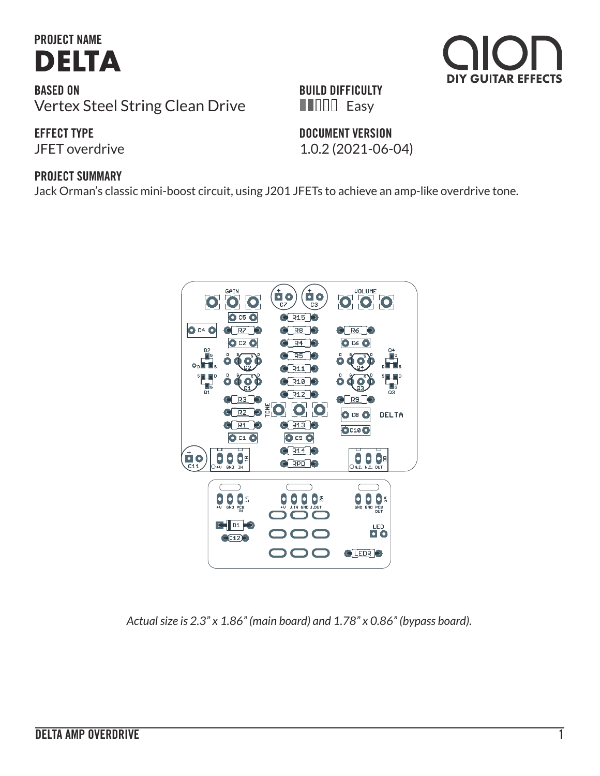# **PROJECT NAME [DELTA](https://aionfx.com/project/delta-amp-overdrive/)**

**BASED ON** Vertex Steel String Clean Drive

#### **EFFECT TYPE**

#### **PROJECT SUMMARY**

Jack Orman's classic mini-boost circuit, using J201 JFETs to achieve an amp-like overdrive tone.



*Actual size is 2.3" x 1.86" (main board) and 1.78" x 0.86" (bypass board).*

#### **BUILD DIFFICULTY FILLE** Easy

#### **DOCUMENT VERSION**

JFET overdrive 1.0.2 (2021-06-04)





**DIY GUITAR EFFECTS**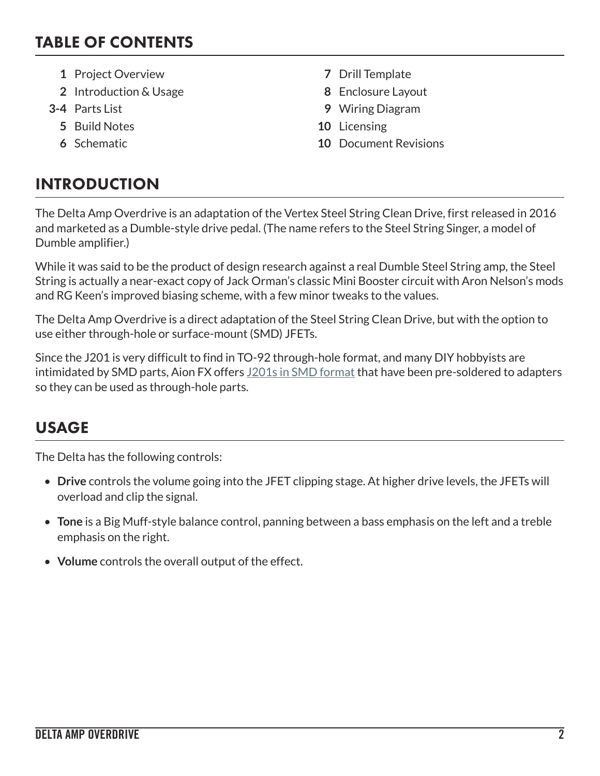### TABLE OF CONTENTS

- **1** Project Overview **7** Drill Template
- **2** Introduction & Usage **8** Enclosure Layout
- - **5** Build Notes **10** Licensing
	-
- 
- 
- **3-4** Parts List **9** Wiring Diagram
	-
	- **6** Schematic **10** Document Revisions

## INTRODUCTION

The Delta Amp Overdrive is an adaptation of the Vertex Steel String Clean Drive, first released in 2016 and marketed as a Dumble-style drive pedal. (The name refers to the Steel String Singer, a model of Dumble amplifier.)

While it was said to be the product of design research against a real Dumble Steel String amp, the Steel String is actually a near-exact copy of Jack Orman's classic Mini Booster circuit with Aron Nelson's mods and RG Keen's improved biasing scheme, with a few minor tweaks to the values.

The Delta Amp Overdrive is a direct adaptation of the Steel String Clean Drive, but with the option to use either through-hole or surface-mount (SMD) JFETs.

Since the J201 is very difficult to find in TO-92 through-hole format, and many DIY hobbyists are intimidated by SMD parts, Aion FX offers [J201s in SMD format](https://aionfx.com/project/j201-jfet/) that have been pre-soldered to adapters so they can be used as through-hole parts.

## USAGE

The Delta has the following controls:

- **Drive** controls the volume going into the JFET clipping stage. At higher drive levels, the JFETs will overload and clip the signal.
- **Tone** is a Big Muff-style balance control, panning between a bass emphasis on the left and a treble emphasis on the right.
- **Volume** controls the overall output of the effect.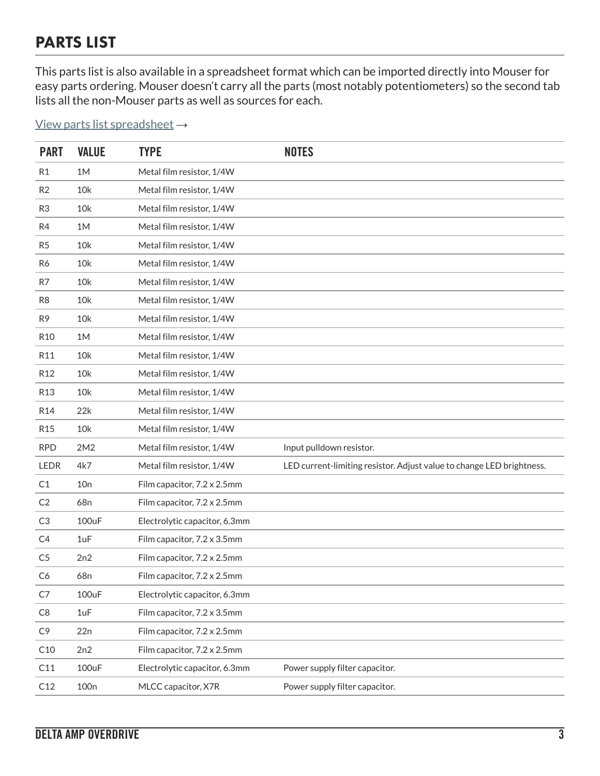### PARTS LIST

This parts list is also available in a spreadsheet format which can be imported directly into Mouser for easy parts ordering. Mouser doesn't carry all the parts (most notably potentiometers) so the second tab lists all the non-Mouser parts as well as sources for each.

[View parts list spreadsheet](https://docs.google.com/spreadsheets/d/1TYi43Z5HuLOCzJBqoTUjHAno08vMrIYi-ZpMKLKeXHU/edit?usp=sharingm/spreadsheets/d/17Qt8zpGb3wJyxKrwSYHHqQgJlI_4Ysm4ScJ0fKKC-jk/edit?usp=sharing) →

| <b>PART</b>     | <b>VALUE</b>     | <b>TYPE</b>                   | <b>NOTES</b>                                                          |
|-----------------|------------------|-------------------------------|-----------------------------------------------------------------------|
| R <sub>1</sub>  | 1M               | Metal film resistor, 1/4W     |                                                                       |
| R <sub>2</sub>  | 10k              | Metal film resistor, 1/4W     |                                                                       |
| R <sub>3</sub>  | 10k              | Metal film resistor, 1/4W     |                                                                       |
| R4              | 1M               | Metal film resistor, 1/4W     |                                                                       |
| R5              | 10k              | Metal film resistor, 1/4W     |                                                                       |
| R6              | 10k              | Metal film resistor, 1/4W     |                                                                       |
| R7              | 10k              | Metal film resistor, 1/4W     |                                                                       |
| R <sub>8</sub>  | 10k              | Metal film resistor, 1/4W     |                                                                       |
| R <sub>9</sub>  | 10k              | Metal film resistor, 1/4W     |                                                                       |
| R <sub>10</sub> | 1M               | Metal film resistor, 1/4W     |                                                                       |
| R11             | 10k              | Metal film resistor, 1/4W     |                                                                       |
| R <sub>12</sub> | 10k              | Metal film resistor, 1/4W     |                                                                       |
| <b>R13</b>      | 10k              | Metal film resistor, 1/4W     |                                                                       |
| R14             | 22k              | Metal film resistor, 1/4W     |                                                                       |
| R <sub>15</sub> | 10k              | Metal film resistor, 1/4W     |                                                                       |
| <b>RPD</b>      | 2M2              | Metal film resistor, 1/4W     | Input pulldown resistor.                                              |
| <b>LEDR</b>     | 4k7              | Metal film resistor, 1/4W     | LED current-limiting resistor. Adjust value to change LED brightness. |
| C1              | 10n              | Film capacitor, 7.2 x 2.5mm   |                                                                       |
| C <sub>2</sub>  | 68n              | Film capacitor, 7.2 x 2.5mm   |                                                                       |
| C3              | 100uF            | Electrolytic capacitor, 6.3mm |                                                                       |
| C4              | 1uF              | Film capacitor, 7.2 x 3.5mm   |                                                                       |
| C <sub>5</sub>  | 2n2              | Film capacitor, 7.2 x 2.5mm   |                                                                       |
| C <sub>6</sub>  | 68n              | Film capacitor, 7.2 x 2.5mm   |                                                                       |
| C7              | 100uF            | Electrolytic capacitor, 6.3mm |                                                                       |
| C8              | 1uF              | Film capacitor, 7.2 x 3.5mm   |                                                                       |
| C <sub>9</sub>  | 22n              | Film capacitor, 7.2 x 2.5mm   |                                                                       |
| C10             | 2n2              | Film capacitor, 7.2 x 2.5mm   |                                                                       |
| C11             | 100uF            | Electrolytic capacitor, 6.3mm | Power supply filter capacitor.                                        |
| C12             | 100 <sub>n</sub> | MLCC capacitor, X7R           | Power supply filter capacitor.                                        |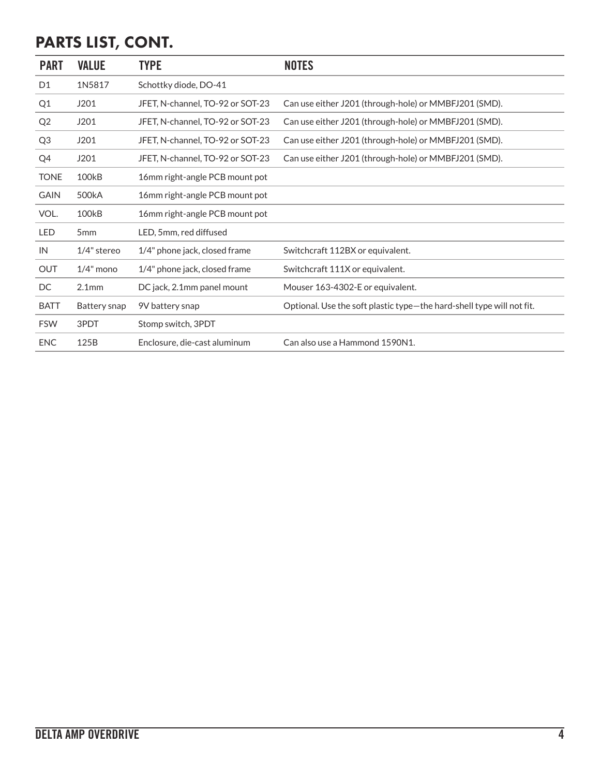# PARTS LIST, CONT.

| <b>PART</b>    | <b>VALUE</b>       | <b>TYPE</b>                      | <b>NOTES</b>                                                          |
|----------------|--------------------|----------------------------------|-----------------------------------------------------------------------|
| D <sub>1</sub> | 1N5817             | Schottky diode, DO-41            |                                                                       |
| Q1             | J201               | JFET, N-channel, TO-92 or SOT-23 | Can use either J201 (through-hole) or MMBFJ201 (SMD).                 |
| Q <sub>2</sub> | J201               | JFET, N-channel, TO-92 or SOT-23 | Can use either J201 (through-hole) or MMBFJ201 (SMD).                 |
| Q <sub>3</sub> | J201               | JFET, N-channel, TO-92 or SOT-23 | Can use either J201 (through-hole) or MMBFJ201 (SMD).                 |
| Q4             | J201               | JFET, N-channel, TO-92 or SOT-23 | Can use either J201 (through-hole) or MMBFJ201 (SMD).                 |
| <b>TONE</b>    | 100 <sub>k</sub> B | 16mm right-angle PCB mount pot   |                                                                       |
| <b>GAIN</b>    | 500 <sub>k</sub> A | 16mm right-angle PCB mount pot   |                                                                       |
| VOL.           | 100 <sub>k</sub> B | 16mm right-angle PCB mount pot   |                                                                       |
| LED            | 5 <sub>mm</sub>    | LED, 5mm, red diffused           |                                                                       |
| IN             | $1/4$ " stereo     | 1/4" phone jack, closed frame    | Switchcraft 112BX or equivalent.                                      |
| <b>OUT</b>     | $1/4$ " mono       | 1/4" phone jack, closed frame    | Switchcraft 111X or equivalent.                                       |
| DC             | 2.1 <sub>mm</sub>  | DC jack, 2.1mm panel mount       | Mouser 163-4302-E or equivalent.                                      |
| <b>BATT</b>    | Battery snap       | 9V battery snap                  | Optional. Use the soft plastic type-the hard-shell type will not fit. |
| <b>FSW</b>     | 3PDT               | Stomp switch, 3PDT               |                                                                       |
| <b>ENC</b>     | 125B               | Enclosure, die-cast aluminum     | Can also use a Hammond 1590N1.                                        |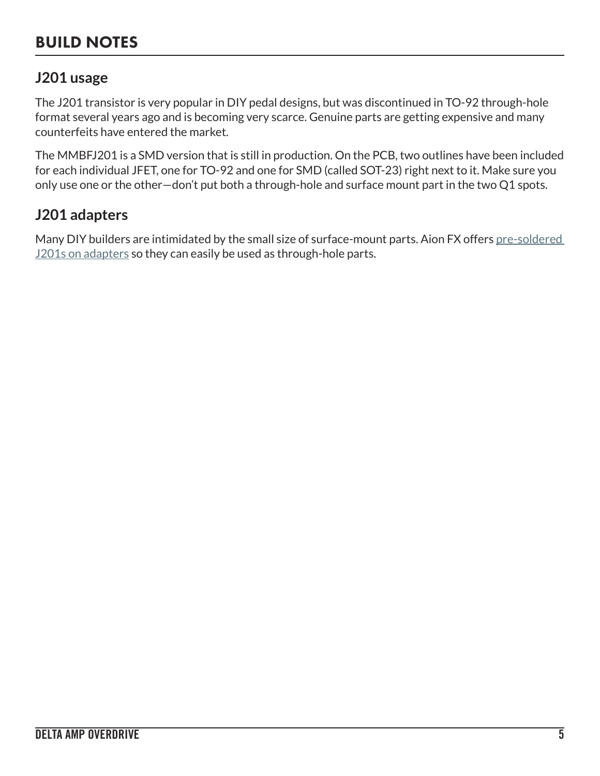### BUILD NOTES

#### **J201 usage**

The J201 transistor is very popular in DIY pedal designs, but was discontinued in TO-92 through-hole format several years ago and is becoming very scarce. Genuine parts are getting expensive and many counterfeits have entered the market.

The MMBFJ201 is a SMD version that is still in production. On the PCB, two outlines have been included for each individual JFET, one for TO-92 and one for SMD (called SOT-23) right next to it. Make sure you only use one or the other—don't put both a through-hole and surface mount part in the two Q1 spots.

#### **J201 adapters**

Many DIY builders are intimidated by the small size of surface-mount parts. Aion FX offers [pre-soldered](https://aionfx.com/project/j201-jfet/)  [J201s on adapters](https://aionfx.com/project/j201-jfet/) so they can easily be used as through-hole parts.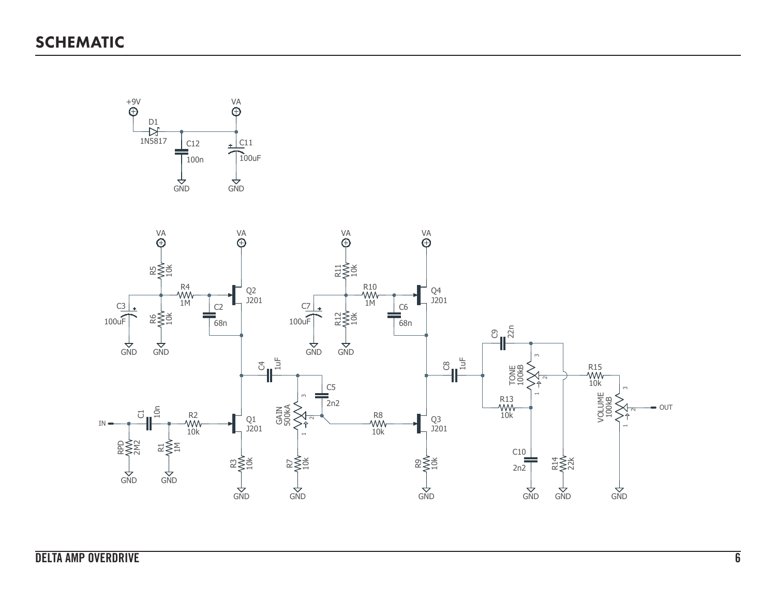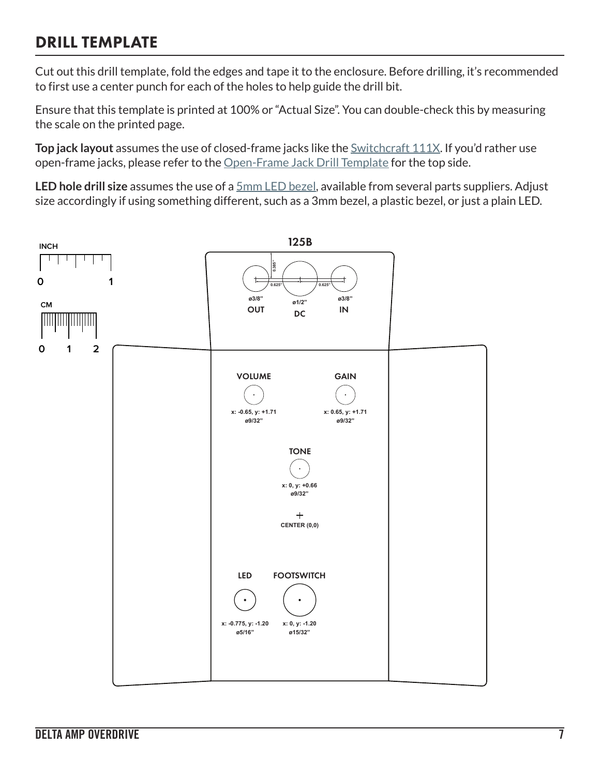### DRILL TEMPLATE

Cut out this drill template, fold the edges and tape it to the enclosure. Before drilling, it's recommended to first use a center punch for each of the holes to help guide the drill bit.

Ensure that this template is printed at 100% or "Actual Size". You can double-check this by measuring the scale on the printed page.

**Top jack layout** assumes the use of closed-frame jacks like the **Switchcraft 111X**. If you'd rather use open-frame jacks, please refer to the [Open-Frame Jack Drill Template](https://aionfx.com/link/open-frame-drill-template/) for the top side.

**LED hole drill size** assumes the use of a [5mm LED bezel,](https://aionfx.com/link/chrome-bezel-for-5mm-led/) available from several parts suppliers. Adjust size accordingly if using something different, such as a 3mm bezel, a plastic bezel, or just a plain LED.

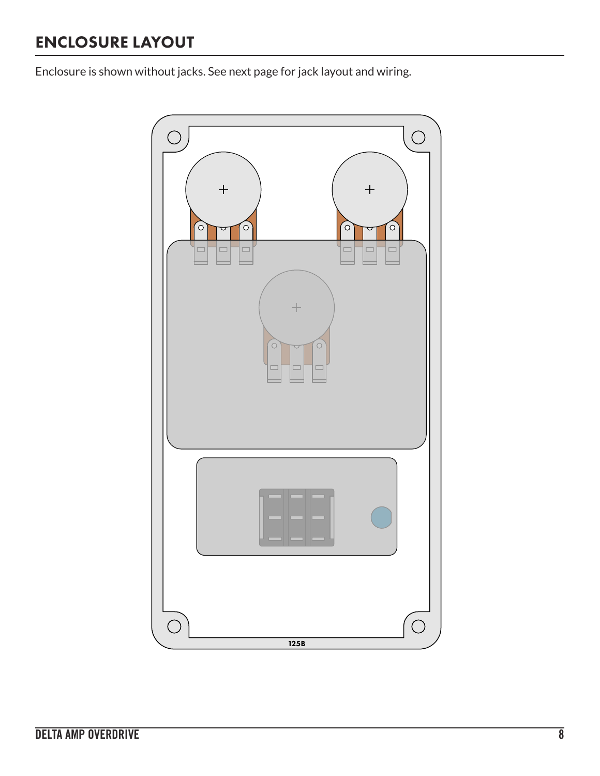# ENCLOSURE LAYOUT

Enclosure is shown without jacks. See next page for jack layout and wiring.

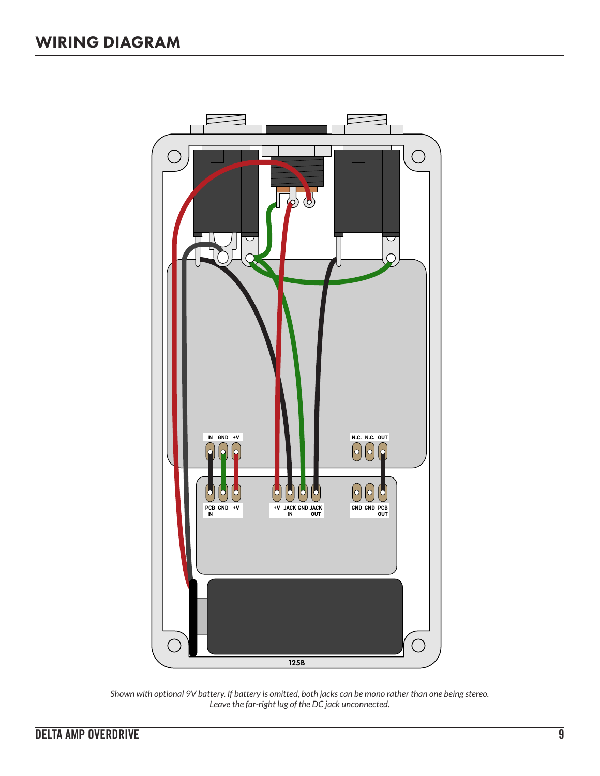

*Shown with optional 9V battery. If battery is omitted, both jacks can be mono rather than one being stereo. Leave the far-right lug of the DC jack unconnected.*